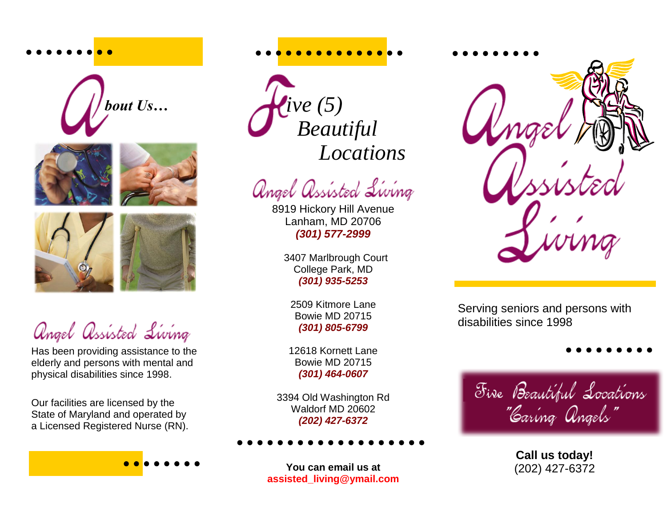







angel assisted Living

Has been providing assistance to the elderly and persons with mental and physical disabilities since 1998.

Our facilities are licensed by the State of Maryland and operated by a Licensed Registered Nurse (RN). Lanham, MD 20706

*(301) 577-2999*

8919 Hickory Hill Avenue

angel assisted Living

 *ive (5)*

 *Beautiful*

 *Locations*

 3407 Marlbrough Court College Park, MD *(301) 935-5253*

2509 Kitmore Lane Bowie MD 20715 *(301) 805-6799*

12618 Kornett Lane Bowie MD 20715 *(301) 464-0607*

3394 Old Washington Rd Waldorf MD 20602 *(202) 427-6372*

**You can email us at assisted\_living@ymail.com**



Serving seniors and persons with disabilities since 1998

Five Beautiful Locations "Caring Angels"

> **Call us today!** (202) 427-6372